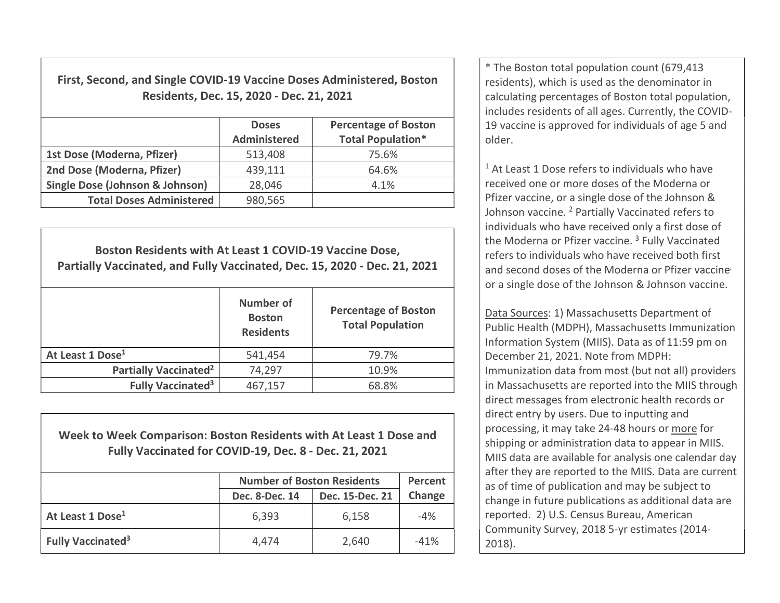First, Second, and Single COVID-19 Vaccine Doses Administered, Boston Residents, Dec. 15, 2020 - Dec. 21, 2021

|                                            | <b>Doses</b><br>Administered | <b>Percentage of Boston</b><br><b>Total Population*</b> |
|--------------------------------------------|------------------------------|---------------------------------------------------------|
| 1st Dose (Moderna, Pfizer)                 | 513,408                      | 75.6%                                                   |
| 2nd Dose (Moderna, Pfizer)                 | 439,111                      | 64.6%                                                   |
| <b>Single Dose (Johnson &amp; Johnson)</b> | 28,046                       | 4.1%                                                    |
| <b>Total Doses Administered</b>            | 980,565                      |                                                         |

Boston Residents with At Least 1 COVID-19 Vaccine Dose, Partially Vaccinated, and Fully Vaccinated, Dec. 15, 2020 - Dec. 21, 2021 Number of **Boston Residents** Percentage of Boston Total Population At Least 1 Dose<sup>1</sup> 1 541,454 1 541,454 79.7% Partially Vaccinated<sup>2</sup> 74,297 10.9% Fully Vaccinated<sup>3</sup>  $467,157$   $68.8\%$ 

Week to Week Comparison: Boston Residents with At Least 1 Dose and Fully Vaccinated for COVID-19, Dec. 8 - Dec. 21, 2021

|                               | <b>Number of Boston Residents</b> | Percent         |        |
|-------------------------------|-----------------------------------|-----------------|--------|
|                               | Dec. 8-Dec. 14                    | Dec. 15-Dec. 21 | Change |
| At Least 1 Dose <sup>1</sup>  | 6,393<br>6,158                    |                 |        |
| Fully Vaccinated <sup>3</sup> | 4,474                             | 2,640           | $-41%$ |

\* The Boston total population count (679,413 residents), which is used as the denominator in calculating percentages of Boston total population, includes residents of all ages. Currently, the COVID-19 vaccine is approved for individuals of age 5 and older.

<sup>1</sup> At Least 1 Dose refers to individuals who have received one or more doses of the Moderna or Pfizer vaccine, or a single dose of the Johnson & Johnson vaccine. <sup>2</sup> Partially Vaccinated refers to individuals who have received only a first dose of the Moderna or Pfizer vaccine.<sup>3</sup> Fully Vaccinated refers to individuals who have received both first and second doses of the Moderna or Pfizer vaccine or a single dose of the Johnson & Johnson vaccine.

Data Sources: 1) Massachusetts Department of Public Health (MDPH), Massachusetts Immunization Information System (MIIS). Data as of 11:59 pm on December 21, 2021. Note from MDPH: Immunization data from most (but not all) providers in Massachusetts are reported into the MIIS through direct messages from electronic health records or direct entry by users. Due to inputting and processing, it may take 24-48 hours or more for shipping or administration data to appear in MIIS. MIIS data are available for analysis one calendar day after they are reported to the MIIS. Data are current as of time of publication and may be subject to change in future publications as additional data are reported. 2) U.S. Census Bureau, American Community Survey, 2018 5-yr estimates (2014- 2018).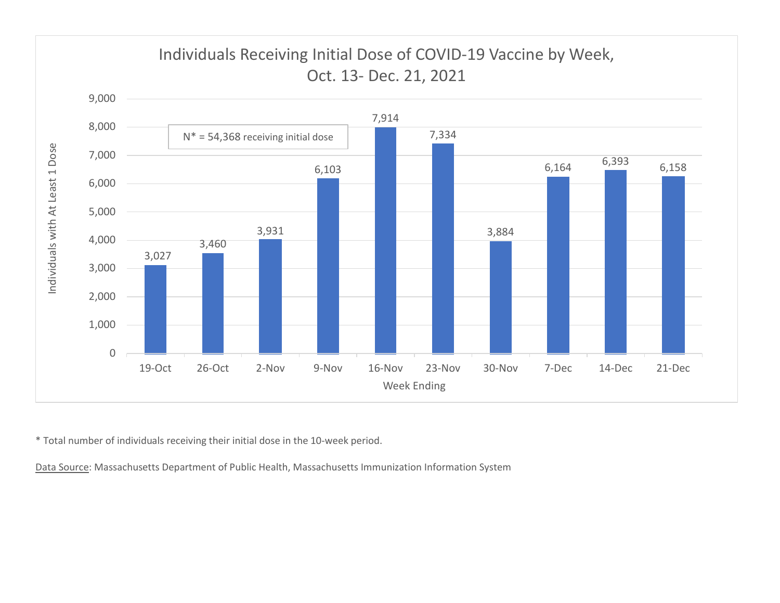

\* Total number of individuals receiving their initial dose in the 10-week period.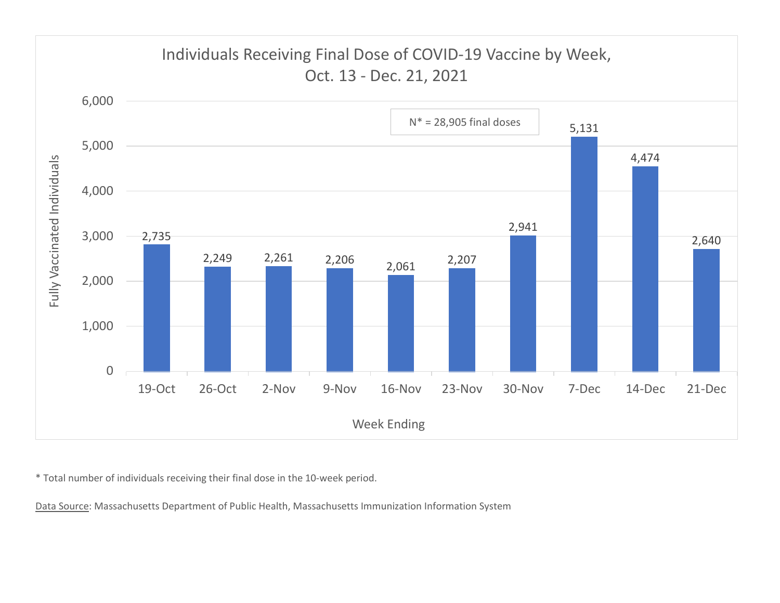

\* Total number of individuals receiving their final dose in the 10-week period.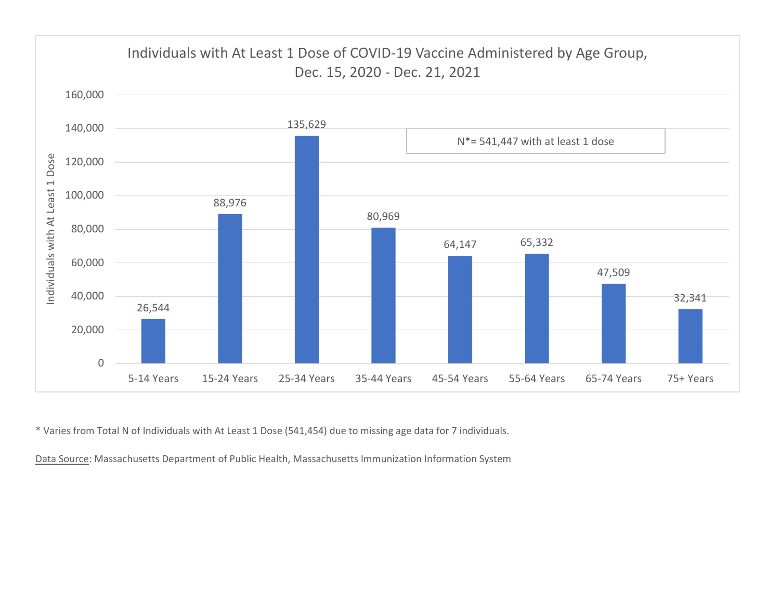

\* Varies from Total N of Individuals with At Least 1 Dose (541,454) due to missing age data for 7 individuals.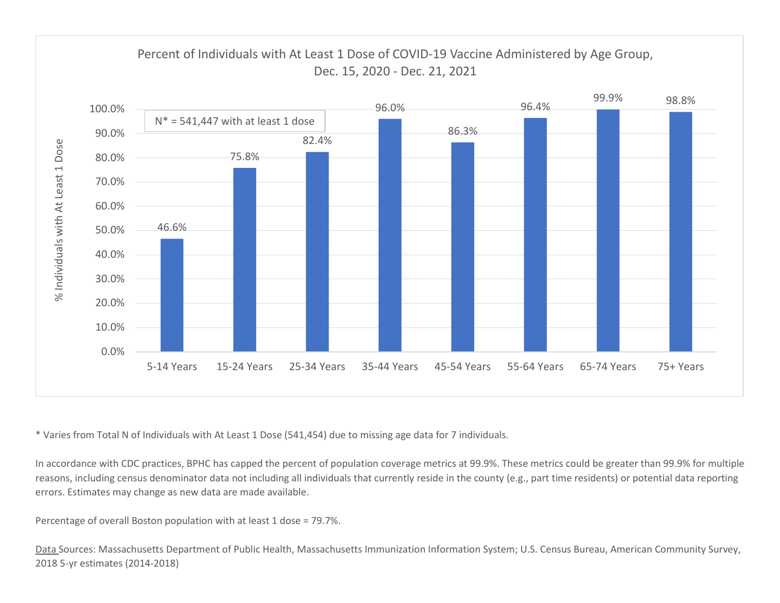

\* Varies from Total N of Individuals with At Least 1 Dose (541,454) due to missing age data for 7 individuals.

In accordance with CDC practices, BPHC has capped the percent of population coverage metrics at 99.9%. These metrics could be greater than 99.9% for multiple reasons, including census denominator data not including all individuals that currently reside in the county (e.g., part time residents) or potential data reporting errors. Estimates may change as new data are made available.

Percentage of overall Boston population with at least 1 dose = 79.7%.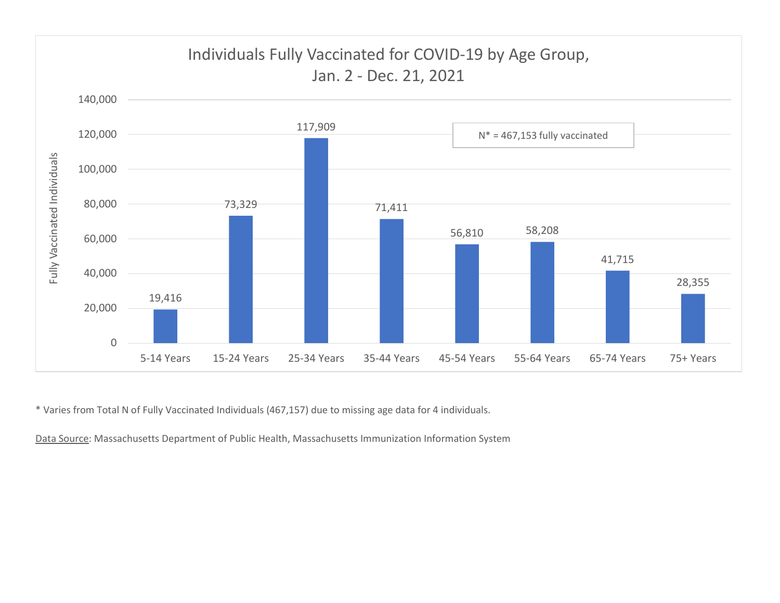

\* Varies from Total N of Fully Vaccinated Individuals (467,157) due to missing age data for 4 individuals.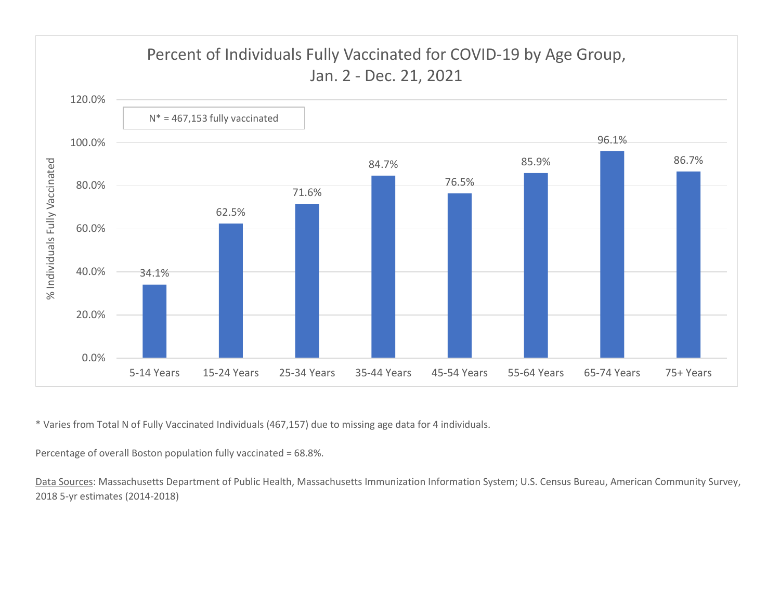

\* Varies from Total N of Fully Vaccinated Individuals (467,157) due to missing age data for 4 individuals.

Percentage of overall Boston population fully vaccinated = 68.8%.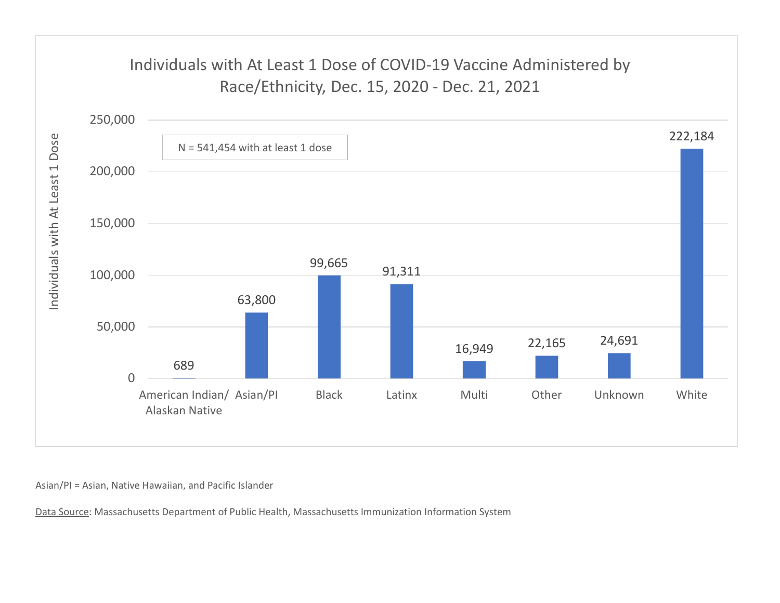## Individuals with At Least 1 Dose of COVID-19 Vaccine Administered by



Asian/PI = Asian, Native Hawaiian, and Pacific Islander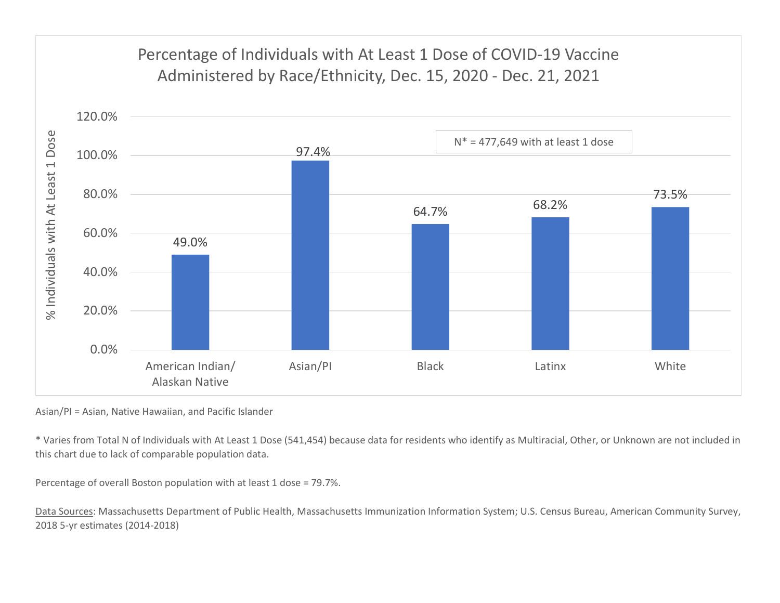## 97.4% 64.7% 68.2% 73.5% 80.0% 100.0% 120.0% Percentage of Individuals with At Least 1 Dose of COVID-19 Vaccine rcentage of Individuals with At Least 1 Dose of COVID-19 Vaccine<br>Administered by Race/Ethnicity, Dec. 15, 2020 - Dec. 21, 2021<br> $N^* = 477,649$  with at least 1 dose  $N^* = 477,649$  with at least 1 dose



Asian/PI = Asian, Native Hawaiian, and Pacific Islander

\* Varies from Total N of Individuals with At Least 1 Dose (541,454) because data for residents who identify as Multiracial, Other, or Unknown are not included in this chart due to lack of comparable population data.

Percentage of overall Boston population with at least 1 dose = 79.7%.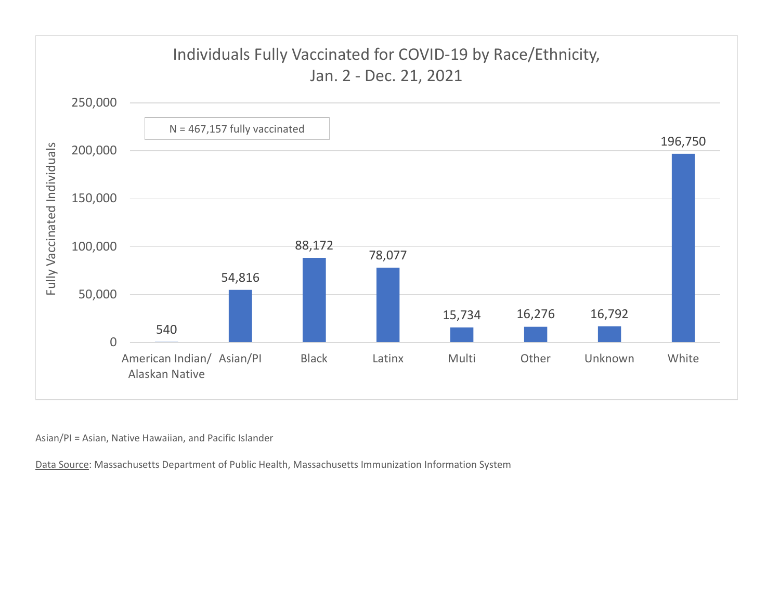

Asian/PI = Asian, Native Hawaiian, and Pacific Islander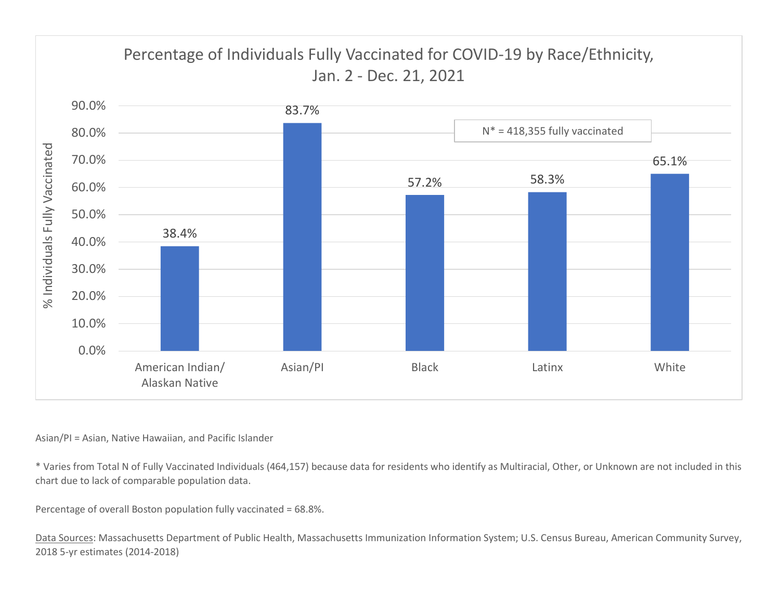

## Asian/PI = Asian, Native Hawaiian, and Pacific Islander

\* Varies from Total N of Fully Vaccinated Individuals (464,157) because data for residents who identify as Multiracial, Other, or Unknown are not included in this chart due to lack of comparable population data.

Percentage of overall Boston population fully vaccinated = 68.8%.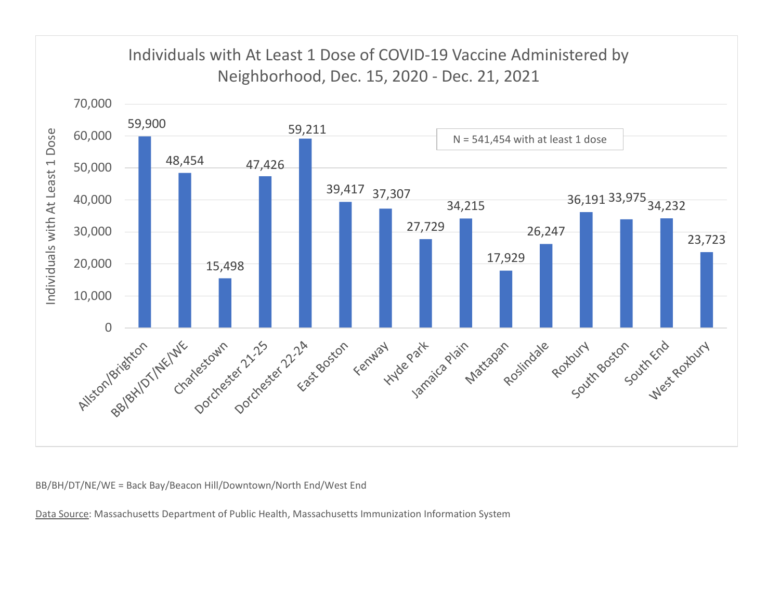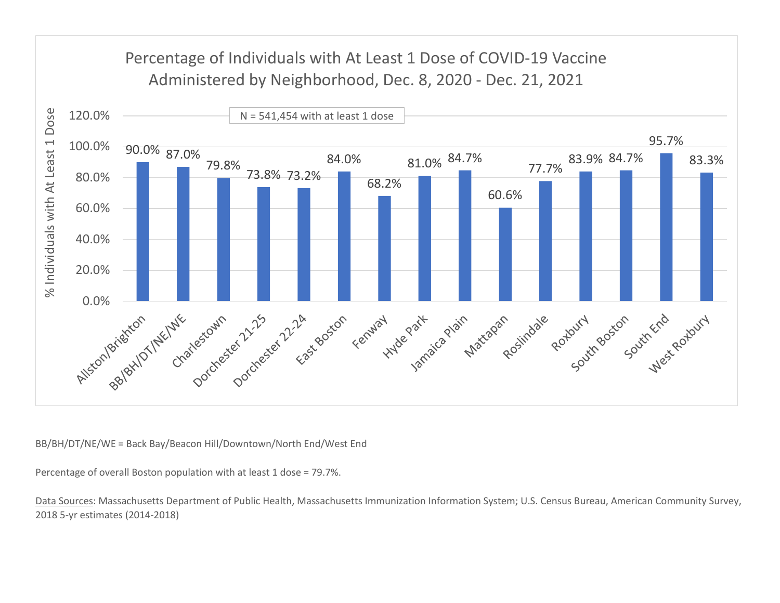

Percentage of overall Boston population with at least 1 dose = 79.7%.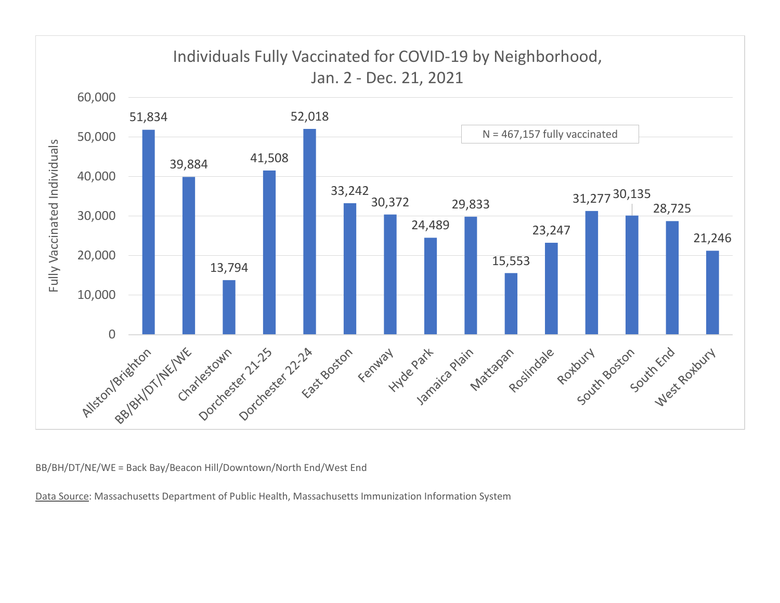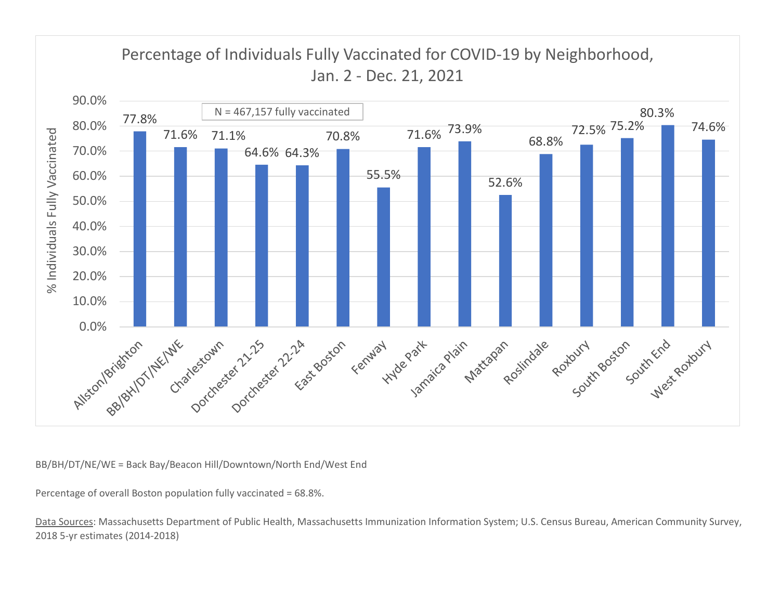

Percentage of overall Boston population fully vaccinated = 68.8%.